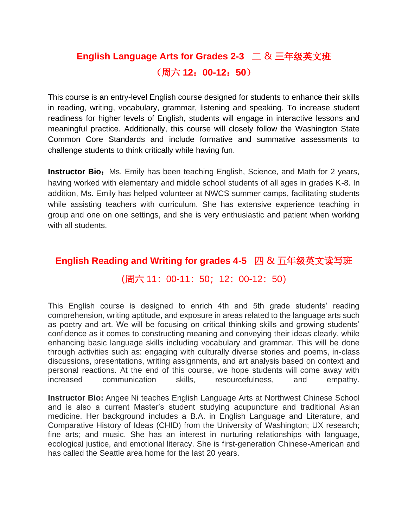## **English Language Arts for Grades 2-3** 二 & 三年级英文班 (周六 **12**:**00-12**:**50**)

This course is an entry-level English course designed for students to enhance their skills in reading, writing, vocabulary, grammar, listening and speaking. To increase student readiness for higher levels of English, students will engage in interactive lessons and meaningful practice. Additionally, this course will closely follow the Washington State Common Core Standards and include formative and summative assessments to challenge students to think critically while having fun.

**Instructor Bio:** Ms. Emily has been teaching English, Science, and Math for 2 years, having worked with elementary and middle school students of all ages in grades K-8. In addition, Ms. Emily has helped volunteer at NWCS summer camps, facilitating students while assisting teachers with curriculum. She has extensive experience teaching in group and one on one settings, and she is very enthusiastic and patient when working with all students.

### **English Reading and Writing for grades 4-5** 四 & 五年级英文读写班

#### (周六 11:00-11:50;12:00-12:50)

This English course is designed to enrich 4th and 5th grade students' reading comprehension, writing aptitude, and exposure in areas related to the language arts such as poetry and art. We will be focusing on critical thinking skills and growing students' confidence as it comes to constructing meaning and conveying their ideas clearly, while enhancing basic language skills including vocabulary and grammar. This will be done through activities such as: engaging with culturally diverse stories and poems, in-class discussions, presentations, writing assignments, and art analysis based on context and personal reactions. At the end of this course, we hope students will come away with increased communication skills, resourcefulness, and empathy.

**Instructor Bio:** Angee Ni teaches English Language Arts at Northwest Chinese School and is also a current Master's student studying acupuncture and traditional Asian medicine. Her background includes a B.A. in English Language and Literature, and Comparative History of Ideas (CHID) from the University of Washington; UX research; fine arts; and music. She has an interest in nurturing relationships with language, ecological justice, and emotional literacy. She is first-generation Chinese-American and has called the Seattle area home for the last 20 years.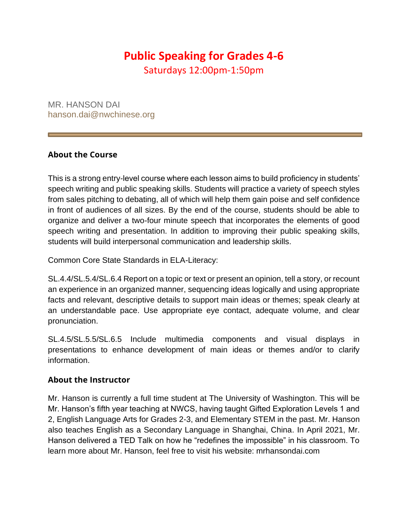# **Public Speaking for Grades 4-6**

Saturdays 12:00pm-1:50pm

MR. HANSON DAI hanson.dai@nwchinese.org

#### **About the Course**

This is a strong entry-level course where each lesson aims to build proficiency in students' speech writing and public speaking skills. Students will practice a variety of speech styles from sales pitching to debating, all of which will help them gain poise and self confidence in front of audiences of all sizes. By the end of the course, students should be able to organize and deliver a two-four minute speech that incorporates the elements of good speech writing and presentation. In addition to improving their public speaking skills, students will build interpersonal communication and leadership skills.

Common Core State Standards in ELA-Literacy:

SL.4.4/SL.5.4/SL.6.4 Report on a topic or text or present an opinion, tell a story, or recount an experience in an organized manner, sequencing ideas logically and using appropriate facts and relevant, descriptive details to support main ideas or themes; speak clearly at an understandable pace. Use appropriate eye contact, adequate volume, and clear pronunciation.

SL.4.5/SL.5.5/SL.6.5 Include multimedia components and visual displays in presentations to enhance development of main ideas or themes and/or to clarify information.

#### **About the Instructor**

Mr. Hanson is currently a full time student at The University of Washington. This will be Mr. Hanson's fifth year teaching at NWCS, having taught Gifted Exploration Levels 1 and 2, English Language Arts for Grades 2-3, and Elementary STEM in the past. Mr. Hanson also teaches English as a Secondary Language in Shanghai, China. In April 2021, Mr. Hanson delivered a TED Talk on how he "redefines the impossible" in his classroom. To learn more about Mr. Hanson, feel free to visit his website: mrhansondai.com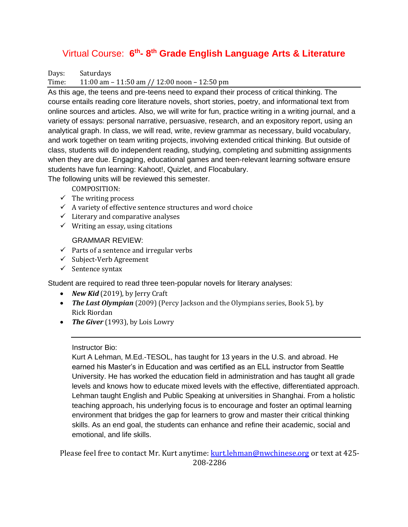#### Virtual Course: 6<sup>th</sup>-8<sup>th</sup> Grade English Language Arts & Literature

Days: Saturdays

Time: 11:00 am – 11:50 am // 12:00 noon – 12:50 pm

As this age, the teens and pre-teens need to expand their process of critical thinking. The course entails reading core literature novels, short stories, poetry, and informational text from online sources and articles. Also, we will write for fun, practice writing in a writing journal, and a variety of essays: personal narrative, persuasive, research, and an expository report, using an analytical graph. In class, we will read, write, review grammar as necessary, build vocabulary, and work together on team writing projects, involving extended critical thinking. But outside of class, students will do independent reading, studying, completing and submitting assignments when they are due. Engaging, educational games and teen-relevant learning software ensure students have fun learning: Kahoot!, Quizlet, and Flocabulary.

The following units will be reviewed this semester.

COMPOSITION:

- $\checkmark$  The writing process
- $\checkmark$  A variety of effective sentence structures and word choice
- $\checkmark$  Literary and comparative analyses
- $\checkmark$  Writing an essay, using citations

GRAMMAR REVIEW:

- $\checkmark$  Parts of a sentence and irregular verbs
- ✓ Subject-Verb Agreement
- $\checkmark$  Sentence syntax

Student are required to read three teen-popular novels for literary analyses:

- *New Kid* (2019), by Jerry Craft
- *The Last Olympian* (2009) (Percy Jackson and the Olympians series, Book 5), by Rick Riordan
- *The Giver* (1993), by Lois Lowry

Instructor Bio:

Kurt A Lehman, M.Ed.-TESOL, has taught for 13 years in the U.S. and abroad. He earned his Master's in Education and was certified as an ELL instructor from Seattle University. He has worked the education field in administration and has taught all grade levels and knows how to educate mixed levels with the effective, differentiated approach. Lehman taught English and Public Speaking at universities in Shanghai. From a holistic teaching approach, his underlying focus is to encourage and foster an optimal learning environment that bridges the gap for learners to grow and master their critical thinking skills. As an end goal, the students can enhance and refine their academic, social and emotional, and life skills.

Please feel free to contact Mr. Kurt anytime: [kurt.lehman@nwchinese.org](mailto:kurt.lehman@nwchinese.org) or text at 425-208-2286